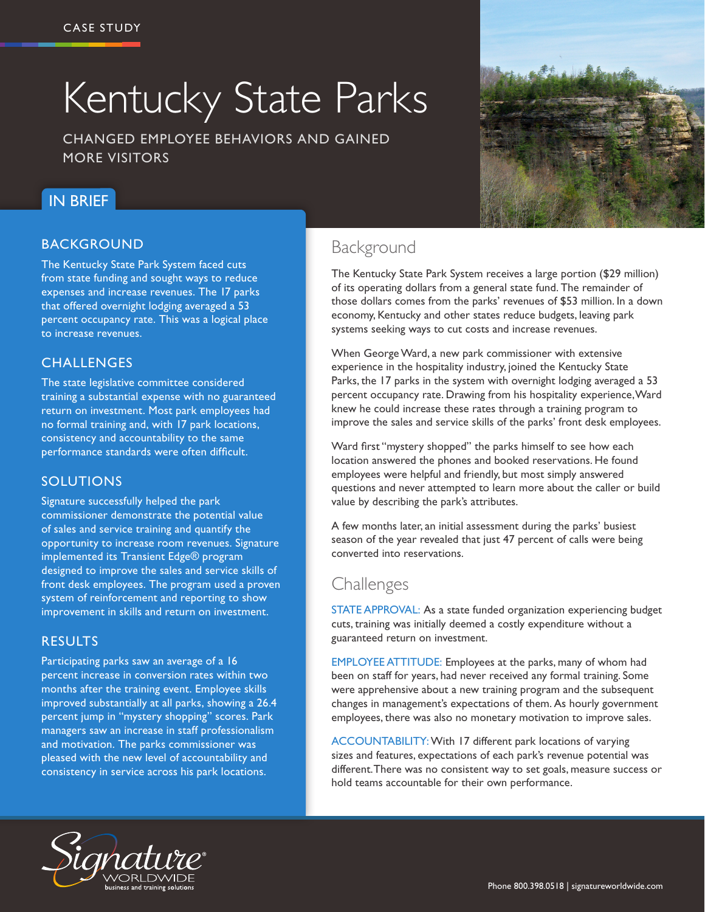# Kentucky State Parks

CHANGED EMPLOYEE BEHAVIORS AND GAINED MORE VISITORS

## IN BRIEF

#### BACKGROUND

The Kentucky State Park System faced cuts from state funding and sought ways to reduce expenses and increase revenues. The 17 parks that offered overnight lodging averaged a 53 percent occupancy rate. This was a logical place to increase revenues.

#### **CHALLENGES**

The state legislative committee considered training a substantial expense with no guaranteed return on investment. Most park employees had no formal training and, with 17 park locations, consistency and accountability to the same performance standards were often difficult.

#### SOLUTIONS

Signature successfully helped the park commissioner demonstrate the potential value of sales and service training and quantify the opportunity to increase room revenues. Signature implemented its Transient Edge® program designed to improve the sales and service skills of front desk employees. The program used a proven system of reinforcement and reporting to show improvement in skills and return on investment.

#### RESULTS

Participating parks saw an average of a 16 percent increase in conversion rates within two months after the training event. Employee skills improved substantially at all parks, showing a 26.4 percent jump in "mystery shopping" scores. Park managers saw an increase in staff professionalism and motivation. The parks commissioner was pleased with the new level of accountability and consistency in service across his park locations.



The Kentucky State Park System receives a large portion (\$29 million) of its operating dollars from a general state fund. The remainder of those dollars comes from the parks' revenues of \$53 million. In a down economy, Kentucky and other states reduce budgets, leaving park systems seeking ways to cut costs and increase revenues.

When George Ward, a new park commissioner with extensive experience in the hospitality industry, joined the Kentucky State Parks, the 17 parks in the system with overnight lodging averaged a 53 percent occupancy rate. Drawing from his hospitality experience, Ward knew he could increase these rates through a training program to improve the sales and service skills of the parks' front desk employees.

Ward first "mystery shopped" the parks himself to see how each location answered the phones and booked reservations. He found employees were helpful and friendly, but most simply answered questions and never attempted to learn more about the caller or build value by describing the park's attributes.

A few months later, an initial assessment during the parks' busiest season of the year revealed that just 47 percent of calls were being converted into reservations.

# Challenges

STATE APPROVAL: As a state funded organization experiencing budget cuts, training was initially deemed a costly expenditure without a guaranteed return on investment.

EMPLOYEE ATTITUDE: Employees at the parks, many of whom had been on staff for years, had never received any formal training. Some were apprehensive about a new training program and the subsequent changes in management's expectations of them. As hourly government employees, there was also no monetary motivation to improve sales.

ACCOUNTABILITY: With 17 different park locations of varying sizes and features, expectations of each park's revenue potential was different. There was no consistent way to set goals, measure success or hold teams accountable for their own performance.